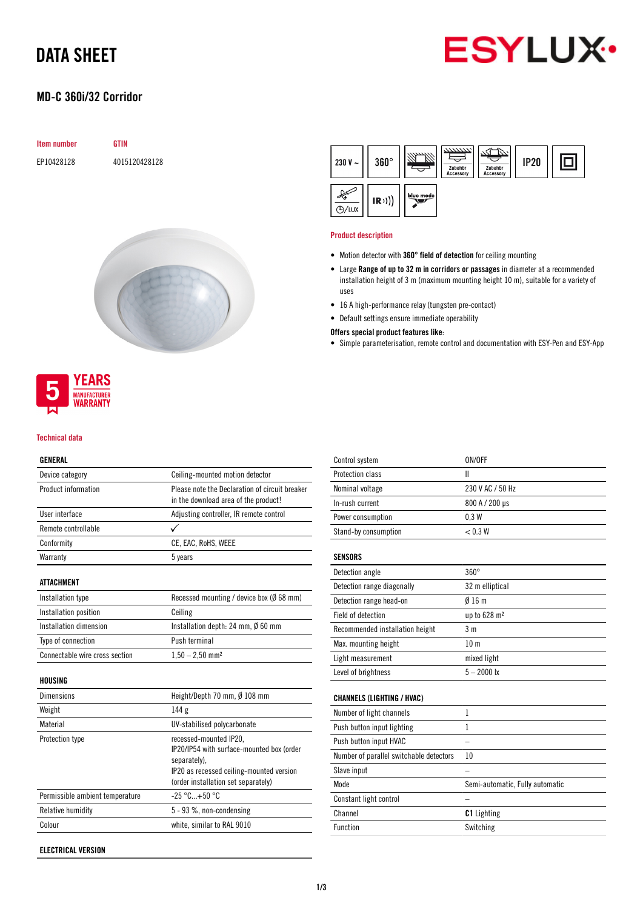## DATA SHEET

### MD-C 360i/32 Corridor



## Item number GTIN EP10428128 4015120428128





#### Technical data

#### GENERAL

| Device category                | Ceiling-mounted motion detector                                                        |  |
|--------------------------------|----------------------------------------------------------------------------------------|--|
| Product information            | Please note the Declaration of circuit breaker<br>in the download area of the product! |  |
| <b>Ilser interface</b>         | Adjusting controller, IR remote control                                                |  |
| Remote controllable            |                                                                                        |  |
| Conformity                     | CE, EAC, RoHS, WEEE                                                                    |  |
| Warranty                       | 5 years                                                                                |  |
| ATTACHMENT                     |                                                                                        |  |
| Installation type              | Recessed mounting / device box ( $\emptyset$ 68 mm)                                    |  |
| Installation position          | Ceiling                                                                                |  |
| Installation dimension         | Installation depth: 24 mm, $\emptyset$ 60 mm                                           |  |
| Type of connection             | Push terminal                                                                          |  |
| Connectable wire cross section | $1,50 - 2,50$ mm <sup>2</sup>                                                          |  |
| HOUSING                        |                                                                                        |  |
| Dimensions                     | Height/Depth 70 mm, $\emptyset$ 108 mm                                                 |  |
| Weight                         | 144g                                                                                   |  |
| $M = 1 - 1 - 1$                | المقدم وخامست وبالمسال والمتالية والمنابية الملالة                                     |  |

| 144 g                                                                                                                                                                  |
|------------------------------------------------------------------------------------------------------------------------------------------------------------------------|
| UV-stabilised polycarbonate                                                                                                                                            |
| recessed-mounted IP20,<br>IP20/IP54 with surface-mounted box (order<br>separately).<br>IP20 as recessed ceiling-mounted version<br>(order installation set separately) |
| $-25 °C+50 °C$                                                                                                                                                         |
| $5 - 93$ %, non-condensing                                                                                                                                             |
| white, similar to RAL 9010                                                                                                                                             |
|                                                                                                                                                                        |

ELECTRICAL VERSION



#### Product description

- Motion detector with 360° field of detection for ceiling mounting
- Large Range of up to 32 m in corridors or passages in diameter at a recommended installation height of 3 m (maximum mounting height 10 m), suitable for a variety of uses
- 16 A high-performance relay (tungsten pre-contact)
- Default settings ensure immediate operability

#### Offers special product features like:

• Simple parameterisation, remote control and documentation with ESY-Pen and ESY-App

| Control system                          | ON/OFF                          |
|-----------------------------------------|---------------------------------|
| Protection class                        | Ш                               |
| Nominal voltage                         | 230 V AC / 50 Hz                |
| In-rush current                         | 800 A / 200 µs                  |
| Power consumption                       | 0.3W                            |
| Stand-by consumption                    | < 0.3 W                         |
| <b>SENSORS</b>                          |                                 |
| Detection angle                         | $360^\circ$                     |
| Detection range diagonally              | 32 m elliptical                 |
| Detection range head-on                 | $0/16$ m                        |
| Field of detection                      | up to 628 m <sup>2</sup>        |
| Recommended installation height         | 3 <sub>m</sub>                  |
| Max. mounting height                    | 10 <sub>m</sub>                 |
| Light measurement                       | mixed light                     |
| Level of brightness                     | $5 - 2000$ lx                   |
| <b>CHANNELS (LIGHTING / HVAC)</b>       |                                 |
| Number of light channels                | 1                               |
| Push button input lighting              | 1                               |
| Push button input HVAC                  |                                 |
| Number of parallel switchable detectors | 10                              |
| Slave input                             |                                 |
| Mode                                    | Semi-automatic, Fully automatic |
| Constant light control                  |                                 |
| Channel                                 | <b>C1</b> Lighting              |
| Function                                | Switching                       |
|                                         |                                 |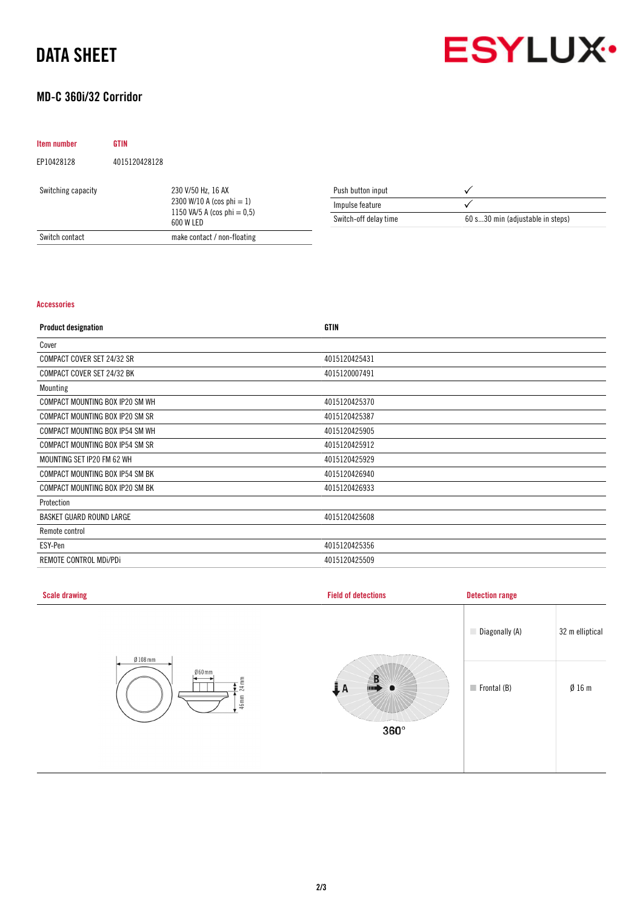## DATA SHEET



### MD-C 360i/32 Corridor

| Item number        | <b>GTIN</b>   |                                                                                                   |                       |                                  |
|--------------------|---------------|---------------------------------------------------------------------------------------------------|-----------------------|----------------------------------|
| EP10428128         | 4015120428128 |                                                                                                   |                       |                                  |
| Switching capacity |               | 230 V/50 Hz, 16 AX<br>2300 W/10 A (cos phi $= 1$ )<br>1150 VA/5 A (cos phi $= 0.5$ )<br>600 W LED | Push button input     |                                  |
|                    |               |                                                                                                   | Impulse feature       |                                  |
|                    |               |                                                                                                   | Switch-off delay time | 60 s30 min (adjustable in steps) |
| Switch contact     |               | make contact / non-floating                                                                       |                       |                                  |

#### Accessories

| <b>Product designation</b>      | <b>GTIN</b>   |
|---------------------------------|---------------|
| Cover                           |               |
| COMPACT COVER SET 24/32 SR      | 4015120425431 |
| COMPACT COVER SET 24/32 BK      | 4015120007491 |
| Mounting                        |               |
| COMPACT MOUNTING BOX IP20 SM WH | 4015120425370 |
| COMPACT MOUNTING BOX IP20 SM SR | 4015120425387 |
| COMPACT MOUNTING BOX IP54 SM WH | 4015120425905 |
| COMPACT MOUNTING BOX IP54 SM SR | 4015120425912 |
| MOUNTING SET IP20 FM 62 WH      | 4015120425929 |
| COMPACT MOUNTING BOX IP54 SM BK | 4015120426940 |
| COMPACT MOUNTING BOX IP20 SM BK | 4015120426933 |
| Protection                      |               |
| <b>BASKET GUARD ROUND LARGE</b> | 4015120425608 |
| Remote control                  |               |
| ESY-Pen                         | 4015120425356 |
| REMOTE CONTROL MDI/PDI          | 4015120425509 |

| <b>Scale drawing</b>                    | <b>Field of detections</b> | <b>Detection range</b>     |                 |
|-----------------------------------------|----------------------------|----------------------------|-----------------|
|                                         |                            | Diagonally (A)             | 32 m elliptical |
| $Ø108$ mm<br>$060$ mm<br>24 mm<br>46 mm | D                          | $\blacksquare$ Frontal (B) | Ø16m            |
|                                         | $360^\circ$                |                            |                 |